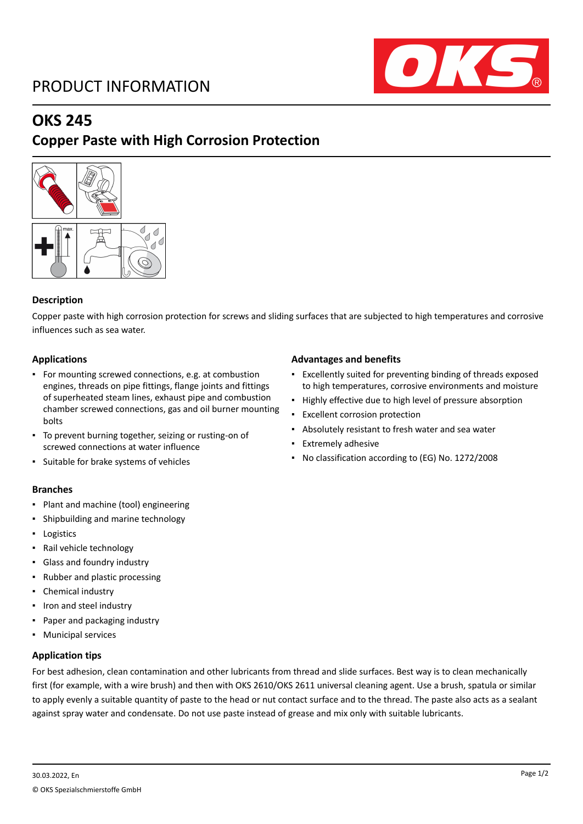# PRODUCT INFORMATION



# **OKS 245**

# **Copper Paste with High Corrosion Protection**



## **Description**

Copper paste with high corrosion protection for screws and sliding surfaces that are subjected to high temperatures and corrosive influences such as sea water.

## **Applications**

- For mounting screwed connections, e.g. at combustion engines, threads on pipe fittings, flange joints and fittings of superheated steam lines, exhaust pipe and combustion chamber screwed connections, gas and oil burner mounting bolts
- To prevent burning together, seizing or rusting-on of screwed connections at water influence
- Suitable for brake systems of vehicles

## **Branches**

- Plant and machine (tool) engineering
- Shipbuilding and marine technology
- Logistics
- Rail vehicle technology
- Glass and foundry industry
- Rubber and plastic processing
- Chemical industry
- Iron and steel industry
- Paper and packaging industry
- Municipal services

## **Application tips**

## For best adhesion, clean contamination and other lubricants from thread and slide surfaces. Best way is to clean mechanically first (for example, with a wire brush) and then with OKS 2610/OKS 2611 universal cleaning agent. Use a brush, spatula or similar to apply evenly a suitable quantity of paste to the head or nut contact surface and to the thread. The paste also acts as a sealant against spray water and condensate. Do not use paste instead of grease and mix only with suitable lubricants.

## **Advantages and benefits**

- Excellently suited for preventing binding of threads exposed to high temperatures, corrosive environments and moisture
- Highly effective due to high level of pressure absorption
- Excellent corrosion protection
- Absolutely resistant to fresh water and sea water
- Extremely adhesive
- No classification according to (EG) No. 1272/2008